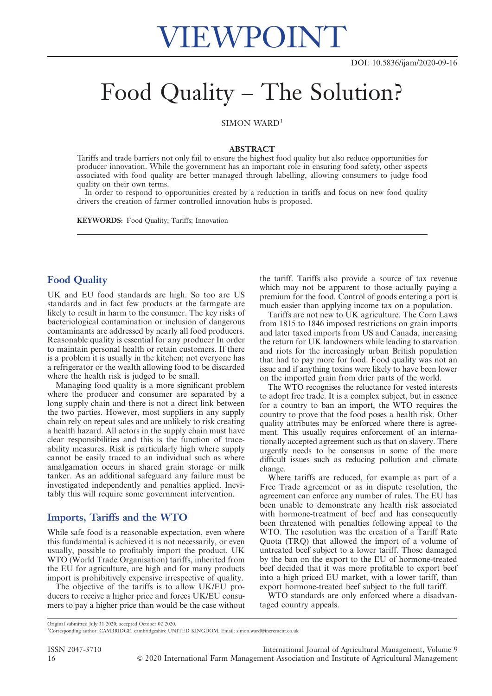# Food Quality – The Solution?

SIMON WARD<sup>1</sup>

#### ABSTRACT

Tariffs and trade barriers not only fail to ensure the highest food quality but also reduce opportunities for producer innovation. While the government has an important role in ensuring food safety, other aspects associated with food quality are better managed through labelling, allowing consumers to judge food quality on their own terms.

In order to respond to opportunities created by a reduction in tariffs and focus on new food quality drivers the creation of farmer controlled innovation hubs is proposed.

KEYWORDS: Food Quality; Tariffs; Innovation

# Food Quality

UK and EU food standards are high. So too are US standards and in fact few products at the farmgate are likely to result in harm to the consumer. The key risks of bacteriological contamination or inclusion of dangerous contaminants are addressed by nearly all food producers. Reasonable quality is essential for any producer In order to maintain personal health or retain customers. If there is a problem it is usually in the kitchen; not everyone has a refrigerator or the wealth allowing food to be discarded where the health risk is judged to be small.

Managing food quality is a more significant problem where the producer and consumer are separated by a long supply chain and there is not a direct link between the two parties. However, most suppliers in any supply chain rely on repeat sales and are unlikely to risk creating a health hazard. All actors in the supply chain must have clear responsibilities and this is the function of traceability measures. Risk is particularly high where supply cannot be easily traced to an individual such as where amalgamation occurs in shared grain storage or milk tanker. As an additional safeguard any failure must be investigated independently and penalties applied. Inevitably this will require some government intervention.

# Imports, Tariffs and the WTO

While safe food is a reasonable expectation, even where this fundamental is achieved it is not necessarily, or even usually, possible to profitably import the product. UK WTO (World Trade Organisation) tariffs, inherited from the EU for agriculture, are high and for many products import is prohibitively expensive irrespective of quality.

The objective of the tariffs is to allow UK/EU producers to receive a higher price and forces UK/EU consumers to pay a higher price than would be the case without the tariff. Tariffs also provide a source of tax revenue which may not be apparent to those actually paying a premium for the food. Control of goods entering a port is much easier than applying income tax on a population.

Tariffs are not new to UK agriculture. The Corn Laws from 1815 to 1846 imposed restrictions on grain imports and later taxed imports from US and Canada, increasing the return for UK landowners while leading to starvation and riots for the increasingly urban British population that had to pay more for food. Food quality was not an issue and if anything toxins were likely to have been lower on the imported grain from drier parts of the world.

The WTO recognises the reluctance for vested interests to adopt free trade. It is a complex subject, but in essence for a country to ban an import, the WTO requires the country to prove that the food poses a health risk. Other quality attributes may be enforced where there is agreement. This usually requires enforcement of an internationally accepted agreement such as that on slavery. There urgently needs to be consensus in some of the more difficult issues such as reducing pollution and climate change.

Where tariffs are reduced, for example as part of a Free Trade agreement or as in dispute resolution, the agreement can enforce any number of rules. The EU has been unable to demonstrate any health risk associated with hormone-treatment of beef and has consequently been threatened with penalties following appeal to the WTO. The resolution was the creation of a Tariff Rate Quota (TRQ) that allowed the import of a volume of untreated beef subject to a lower tariff. Those damaged by the ban on the export to the EU of hormone-treated beef decided that it was more profitable to export beef into a high priced EU market, with a lower tariff, than export hormone-treated beef subject to the full tariff.

WTO standards are only enforced where a disadvantaged country appeals.

1 Corresponding author: CAMBRIDGE, cambridgeshire UNITED KINGDOM. Email: simon.ward@increment.co.uk

ISSN 2047-3710 International Journal of Agricultural Management, Volume 9 16 & 2020 International Farm Management Association and Institute of Agricultural Management

Original submitted July 31 2020; accepted October 02 2020.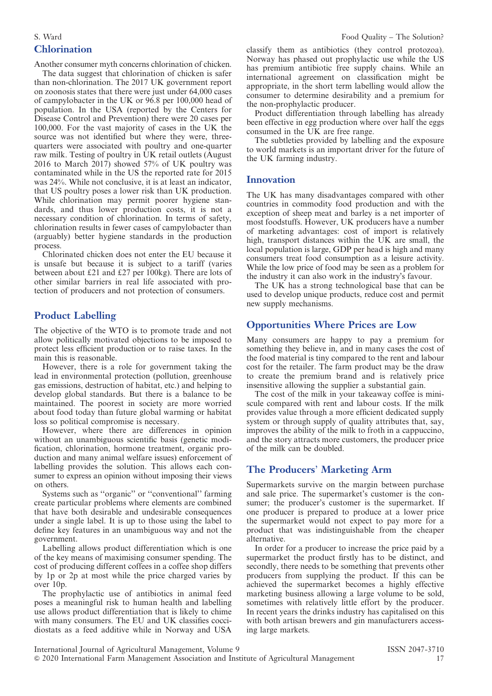# Chlorination

Another consumer myth concerns chlorination of chicken.

The data suggest that chlorination of chicken is safer than non-chlorination. The 2017 UK government report on zoonosis states that there were just under 64,000 cases of campylobacter in the UK or 96.8 per 100,000 head of population. In the USA (reported by the Centers for Disease Control and Prevention) there were 20 cases per 100,000. For the vast majority of cases in the UK the source was not identified but where they were, threequarters were associated with poultry and one-quarter raw milk. Testing of poultry in UK retail outlets (August 2016 to March 2017) showed 57% of UK poultry was contaminated while in the US the reported rate for 2015 was 24%. While not conclusive, it is at least an indicator, that US poultry poses a lower risk than UK production. While chlorination may permit poorer hygiene standards, and thus lower production costs, it is not a necessary condition of chlorination. In terms of safety, chlorination results in fewer cases of campylobacter than (arguably) better hygiene standards in the production process.

Chlorinated chicken does not enter the EU because it is unsafe but because it is subject to a tariff (varies between about £21 and £27 per 100kg). There are lots of other similar barriers in real life associated with protection of producers and not protection of consumers.

# Product Labelling

The objective of the WTO is to promote trade and not allow politically motivated objections to be imposed to protect less efficient production or to raise taxes. In the main this is reasonable.

However, there is a role for government taking the lead in environmental protection (pollution, greenhouse gas emissions, destruction of habitat, etc.) and helping to develop global standards. But there is a balance to be maintained. The poorest in society are more worried about food today than future global warming or habitat loss so political compromise is necessary.

However, where there are differences in opinion without an unambiguous scientific basis (genetic modification, chlorination, hormone treatment, organic production and many animal welfare issues) enforcement of labelling provides the solution. This allows each consumer to express an opinion without imposing their views on others.

Systems such as ''organic'' or ''conventional'' farming create particular problems where elements are combined that have both desirable and undesirable consequences under a single label. It is up to those using the label to define key features in an unambiguous way and not the government.

Labelling allows product differentiation which is one of the key means of maximising consumer spending. The cost of producing different coffees in a coffee shop differs by 1p or 2p at most while the price charged varies by over 10p.

The prophylactic use of antibiotics in animal feed poses a meaningful risk to human health and labelling use allows product differentiation that is likely to chime with many consumers. The EU and UK classifies coccidiostats as a feed additive while in Norway and USA

classify them as antibiotics (they control protozoa). Norway has phased out prophylactic use while the US has premium antibiotic free supply chains. While an international agreement on classification might be appropriate, in the short term labelling would allow the consumer to determine desirability and a premium for the non-prophylactic producer.

Product differentiation through labelling has already been effective in egg production where over half the eggs consumed in the UK are free range.

The subtleties provided by labelling and the exposure to world markets is an important driver for the future of the UK farming industry.

#### Innovation

The UK has many disadvantages compared with other countries in commodity food production and with the exception of sheep meat and barley is a net importer of most foodstuffs. However, UK producers have a number of marketing advantages: cost of import is relatively high, transport distances within the UK are small, the local population is large, GDP per head is high and many consumers treat food consumption as a leisure activity. While the low price of food may be seen as a problem for the industry it can also work in the industry's favour.

The UK has a strong technological base that can be used to develop unique products, reduce cost and permit new supply mechanisms.

# Opportunities Where Prices are Low

Many consumers are happy to pay a premium for something they believe in, and in many cases the cost of the food material is tiny compared to the rent and labour cost for the retailer. The farm product may be the draw to create the premium brand and is relatively price insensitive allowing the supplier a substantial gain.

The cost of the milk in your takeaway coffee is miniscule compared with rent and labour costs. If the milk provides value through a more efficient dedicated supply system or through supply of quality attributes that, say, improves the ability of the milk to froth in a cappuccino, and the story attracts more customers, the producer price of the milk can be doubled.

# The Producers' Marketing Arm

Supermarkets survive on the margin between purchase and sale price. The supermarket's customer is the consumer; the producer's customer is the supermarket. If one producer is prepared to produce at a lower price the supermarket would not expect to pay more for a product that was indistinguishable from the cheaper alternative.

In order for a producer to increase the price paid by a supermarket the product firstly has to be distinct, and secondly, there needs to be something that prevents other producers from supplying the product. If this can be achieved the supermarket becomes a highly effective marketing business allowing a large volume to be sold, sometimes with relatively little effort by the producer. In recent years the drinks industry has capitalised on this with both artisan brewers and gin manufacturers accessing large markets.